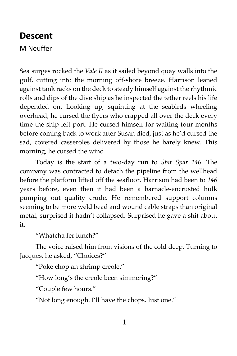## **Descent**

M Neuffer

Sea surges rocked the *Vale II* as it sailed beyond quay walls into the gulf, cutting into the morning off-shore breeze. Harrison leaned against tank racks on the deck to steady himself against the rhythmic rolls and dips of the dive ship as he inspected the tether reels his life depended on. Looking up, squinting at the seabirds wheeling overhead, he cursed the flyers who crapped all over the deck every time the ship left port. He cursed himself for waiting four months before coming back to work after Susan died, just as he'd cursed the sad, covered casseroles delivered by those he barely knew. This morning, he cursed the wind.

Today is the start of a two-day run to *Star Spar 146*. The company was contracted to detach the pipeline from the wellhead before the platform lifted off the seafloor. Harrison had been to *146* years before, even then it had been a barnacle-encrusted hulk pumping out quality crude. He remembered support columns seeming to be more weld bead and wound cable straps than original metal, surprised it hadn't collapsed. Surprised he gave a shit about it.

"Whatcha fer lunch?"

The voice raised him from visions of the cold deep. Turning to Jacques, he asked, "Choices?"

"Poke chop an shrimp creole."

"How long's the creole been simmering?"

"Couple few hours."

"Not long enough. I'll have the chops. Just one."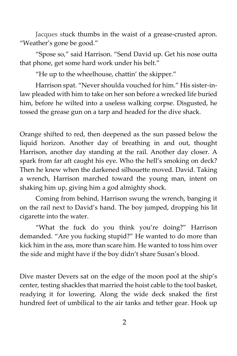Jacques stuck thumbs in the waist of a grease-crusted apron. "Weather's gone be good."

"Spose so," said Harrison. "Send David up. Get his nose outta that phone, get some hard work under his belt."

"He up to the wheelhouse, chattin' the skipper."

Harrison spat. "Never shoulda vouched for him." His sister-inlaw pleaded with him to take on her son before a wrecked life buried him, before he wilted into a useless walking corpse. Disgusted, he tossed the grease gun on a tarp and headed for the dive shack.

Orange shifted to red, then deepened as the sun passed below the liquid horizon. Another day of breathing in and out, thought Harrison, another day standing at the rail. Another day closer. A spark from far aft caught his eye. Who the hell's smoking on deck? Then he knew when the darkened silhouette moved. David. Taking a wrench, Harrison marched toward the young man, intent on shaking him up, giving him a god almighty shock.

Coming from behind, Harrison swung the wrench, banging it on the rail next to David's hand. The boy jumped, dropping his lit cigarette into the water.

"What the fuck do you think you're doing?" Harrison demanded. "Are you fucking stupid?" He wanted to do more than kick him in the ass, more than scare him. He wanted to toss him over the side and might have if the boy didn't share Susan's blood.

Dive master Devers sat on the edge of the moon pool at the ship's center, testing shackles that married the hoist cable to the tool basket, readying it for lowering. Along the wide deck snaked the first hundred feet of umbilical to the air tanks and tether gear. Hook up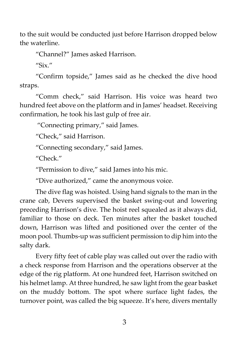to the suit would be conducted just before Harrison dropped below the waterline.

"Channel?" James asked Harrison.

"Six."

"Confirm topside," James said as he checked the dive hood straps.

"Comm check," said Harrison. His voice was heard two hundred feet above on the platform and in James' headset. Receiving confirmation, he took his last gulp of free air.

"Connecting primary," said James.

"Check," said Harrison.

"Connecting secondary," said James.

"Check."

"Permission to dive," said James into his mic.

"Dive authorized," came the anonymous voice.

The dive flag was hoisted. Using hand signals to the man in the crane cab, Devers supervised the basket swing-out and lowering preceding Harrison's dive. The hoist reel squealed as it always did, familiar to those on deck. Ten minutes after the basket touched down, Harrison was lifted and positioned over the center of the moon pool. Thumbs-up was sufficient permission to dip him into the salty dark.

Every fifty feet of cable play was called out over the radio with a check response from Harrison and the operations observer at the edge of the rig platform. At one hundred feet, Harrison switched on his helmet lamp. At three hundred, he saw light from the gear basket on the muddy bottom. The spot where surface light fades, the turnover point, was called the big squeeze. It's here, divers mentally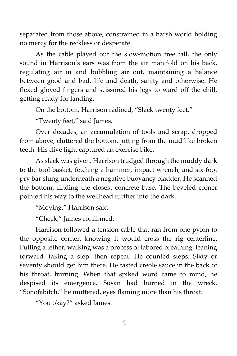separated from those above, constrained in a harsh world holding no mercy for the reckless or desperate.

As the cable played out the slow-motion free fall, the only sound in Harrison's ears was from the air manifold on his back, regulating air in and bubbling air out, maintaining a balance between good and bad, life and death, sanity and otherwise. He flexed gloved fingers and scissored his legs to ward off the chill, getting ready for landing.

On the bottom, Harrison radioed, "Slack twenty feet."

"Twenty feet," said James.

Over decades, an accumulation of tools and scrap, dropped from above, cluttered the bottom, jutting from the mud like broken teeth. His dive light captured an exercise bike.

As slack was given, Harrison trudged through the muddy dark to the tool basket, fetching a hammer, impact wrench, and six-foot pry bar slung underneath a negative buoyancy bladder. He scanned the bottom, finding the closest concrete base. The beveled corner pointed his way to the wellhead further into the dark.

"Moving," Harrison said.

"Check," James confirmed.

Harrison followed a tension cable that ran from one pylon to the opposite corner, knowing it would cross the rig centerline. Pulling a tether, walking was a process of labored breathing, leaning forward, taking a step, then repeat. He counted steps. Sixty or seventy should get him there. He tasted creole sauce in the back of his throat, burning. When that spiked word came to mind, he despised its emergence. Susan had burned in the wreck. "Sonofabitch," he muttered, eyes flaming more than his throat.

"You okay?" asked James.